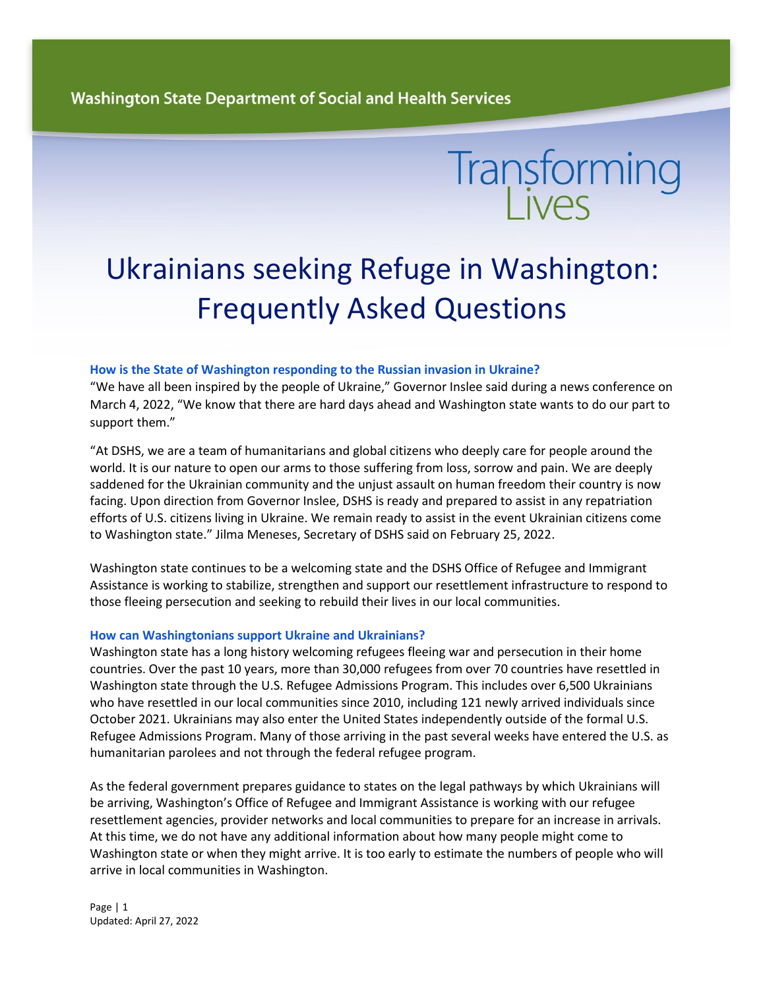# **Transforming**

# Ukrainians seeking Refuge in Washington: Frequently Asked Questions

## **How is the State of Washington responding to the Russian invasion in Ukraine?**

"We have all been inspired by the people of Ukraine," Governor Inslee said during a news conference on March 4, 2022, "We know that there are hard days ahead and Washington state wants to do our part to support them."

"At DSHS, we are a team of humanitarians and global citizens who deeply care for people around the world. It is our nature to open our arms to those suffering from loss, sorrow and pain. We are deeply saddened for the Ukrainian community and the unjust assault on human freedom their country is now facing. Upon direction from Governor Inslee, DSHS is ready and prepared to assist in any repatriation efforts of U.S. citizens living in Ukraine. We remain ready to assist in the event Ukrainian citizens come to Washington state." Jilma Meneses, Secretary of DSHS said on February 25, 2022.

Washington state continues to be a welcoming state and the DSHS Office of Refugee and Immigrant Assistance is working to stabilize, strengthen and support our resettlement infrastructure to respond to those fleeing persecution and seeking to rebuild their lives in our local communities.

## **How can Washingtonians support Ukraine and Ukrainians?**

Washington state has a long history welcoming refugees fleeing war and persecution in their home countries. Over the past 10 years, more than 30,000 refugees from over 70 countries have resettled in Washington state through the U.S. Refugee Admissions Program. This includes over 6,500 Ukrainians who have resettled in our local communities since 2010, including 121 newly arrived individuals since October 2021. Ukrainians may also enter the United States independently outside of the formal U.S. Refugee Admissions Program. Many of those arriving in the past several weeks have entered the U.S. as humanitarian parolees and not through the federal refugee program.

As the federal government prepares guidance to states on the legal pathways by which Ukrainians will be arriving, Washington's Office of Refugee and Immigrant Assistance is working with our refugee resettlement agencies, provider networks and local communities to prepare for an increase in arrivals. At this time, we do not have any additional information about how many people might come to Washington state or when they might arrive. It is too early to estimate the numbers of people who will arrive in local communities in Washington.

Page | 1 Updated: April 27, 2022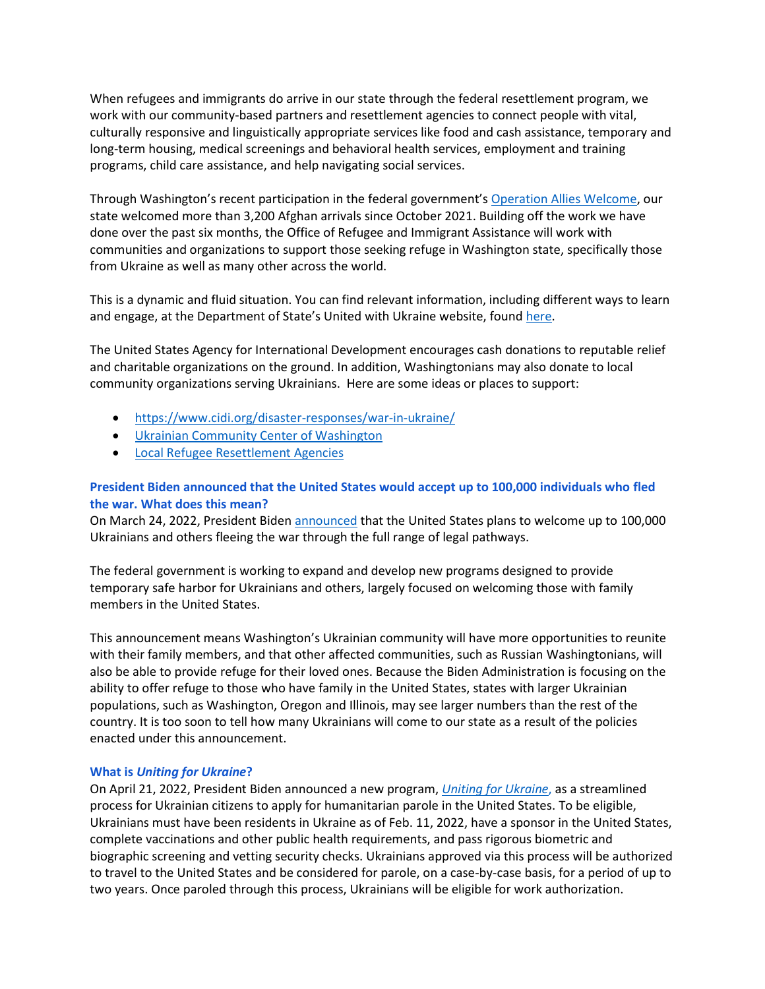When refugees and immigrants do arrive in our state through the federal resettlement program, we work with our community-based partners and resettlement agencies to connect people with vital, culturally responsive and linguistically appropriate services like food and cash assistance, temporary and long-term housing, medical screenings and behavioral health services, employment and training programs, child care assistance, and help navigating social services.

Through Washington's recent participation in the federal government's [Operation Allies Welcome,](https://www.dhs.gov/allieswelcome) our state welcomed more than 3,200 Afghan arrivals since October 2021. Building off the work we have done over the past six months, the Office of Refugee and Immigrant Assistance will work with communities and organizations to support those seeking refuge in Washington state, specifically those from Ukraine as well as many other across the world.

This is a dynamic and fluid situation. You can find relevant information, including different ways to learn and engage, at the Department of State's United with Ukraine website, found [here.](https://www.state.gov/united-with-ukraine/)

The United States Agency for International Development encourages cash donations to reputable relief and charitable organizations on the ground. In addition, Washingtonians may also donate to local community organizations serving Ukrainians. Here are some ideas or places to support:

- <https://www.cidi.org/disaster-responses/war-in-ukraine/>
- [Ukrainian Community Center of Washington](http://uccwa.org/)
- [Local Refugee Resettlement Agencies](https://www.dshs.wa.gov/sites/default/files/WA%20State%20Refugee%20Resettlement%20Agencies%2008-17-2021.pdf)

# **President Biden announced that the United States would accept up to 100,000 individuals who fled the war. What does this mean?**

On March 24, 2022, President Biden [announced](https://gcc02.safelinks.protection.outlook.com/?url=https%3A%2F%2Fwww.whitehouse.gov%2Fbriefing-room%2Fstatements-releases%2F2022%2F03%2F24%2Ffact-sheet-the-biden-administration-announces-new-humanitarian-development-and-democracy-assistance-to-ukraine-and-the-surrounding-region%2F&data=04%7C01%7Cdavid.shannon%40dshs.wa.gov%7C42cbfee6ab1b4798bb5e08da0dc6ec4b%7C11d0e217264e400a8ba057dcc127d72d%7C0%7C0%7C637837445273662076%7CUnknown%7CTWFpbGZsb3d8eyJWIjoiMC4wLjAwMDAiLCJQIjoiV2luMzIiLCJBTiI6Ik1haWwiLCJXVCI6Mn0%3D%7C3000&sdata=3LJEj6p2SA4PGrYVTc%2BKE03YhtjAftFwyhV%2FbFNnFIk%3D&reserved=0) that the United States plans to welcome up to 100,000 Ukrainians and others fleeing the war through the full range of legal pathways.

The federal government is working to expand and develop new programs designed to provide temporary safe harbor for Ukrainians and others, largely focused on welcoming those with family members in the United States.

This announcement means Washington's Ukrainian community will have more opportunities to reunite with their family members, and that other affected communities, such as Russian Washingtonians, will also be able to provide refuge for their loved ones. Because the Biden Administration is focusing on the ability to offer refuge to those who have family in the United States, states with larger Ukrainian populations, such as Washington, Oregon and Illinois, may see larger numbers than the rest of the country. It is too soon to tell how many Ukrainians will come to our state as a result of the policies enacted under this announcement.

## **What is** *Uniting for Ukraine***?**

On April 21, 2022, President Biden announced a new program, *Uniting [for Ukraine](https://www.dhs.gov/news/2022/04/21/president-biden-announce-uniting-ukraine-new-streamlined-process-welcome-ukrainians)*, as a streamlined process for Ukrainian citizens to apply for humanitarian parole in the United States. To be eligible, Ukrainians must have been residents in Ukraine as of Feb. 11, 2022, have a sponsor in the United States, complete vaccinations and other public health requirements, and pass rigorous biometric and biographic screening and vetting security checks. Ukrainians approved via this process will be authorized to travel to the United States and be considered for parole, on a case-by-case basis, for a period of up to two years. Once paroled through this process, Ukrainians will be eligible for work authorization.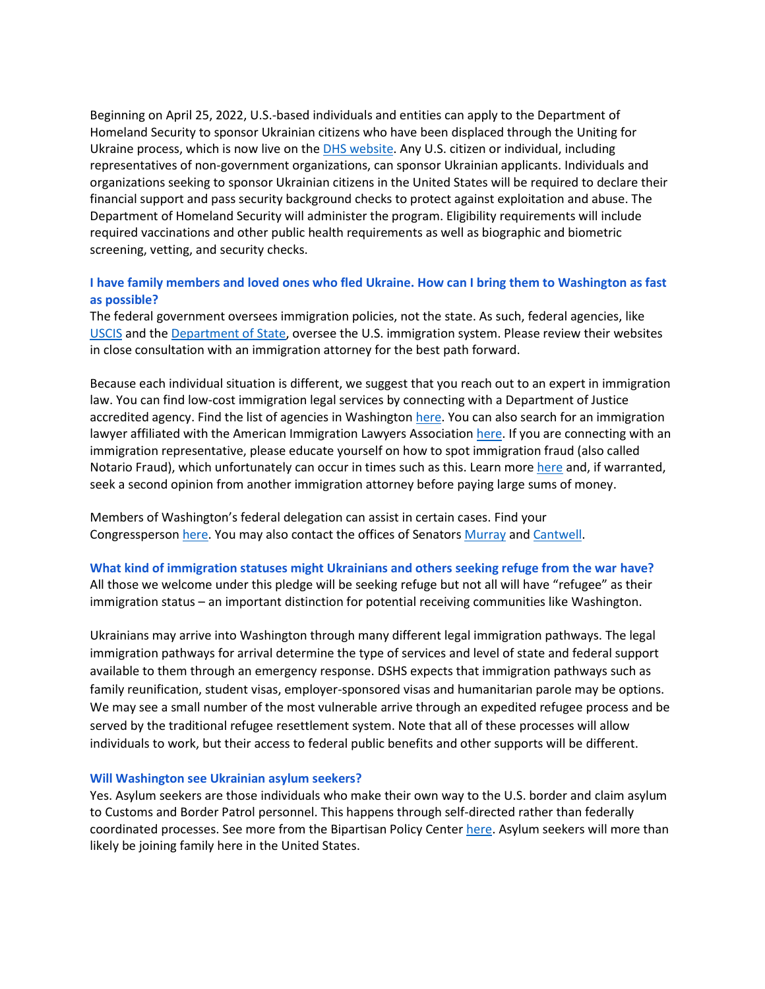Beginning on April 25, 2022, U.S.-based individuals and entities can apply to the Department of Homeland Security to sponsor Ukrainian citizens who have been displaced through the Uniting for Ukraine process, which is now live on the **DHS website. Any U.S. citizen or individual**, including representatives of non-government organizations, can sponsor Ukrainian applicants. Individuals and organizations seeking to sponsor Ukrainian citizens in the United States will be required to declare their financial support and pass security background checks to protect against exploitation and abuse. The Department of Homeland Security will administer the program. Eligibility requirements will include required vaccinations and other public health requirements as well as biographic and biometric screening, vetting, and security checks.

## **I have family members and loved ones who fled Ukraine. How can I bring them to Washington as fast as possible?**

The federal government oversees immigration policies, not the state. As such, federal agencies, like [USCIS](https://www.uscis.gov/) and the [Department of State,](https://travel.state.gov/content/travel/en/traveladvisories/ea/information-for-us-citizens-in-Ukraine.html) oversee the U.S. immigration system. Please review their websites in close consultation with an immigration attorney for the best path forward.

Because each individual situation is different, we suggest that you reach out to an expert in immigration law. You can find low-cost immigration legal services by connecting with a Department of Justice accredited agency. Find the list of agencies in Washington [here.](https://www.justice.gov/eoir/page/file/942306/download#WASHINGTON) You can also search for an immigration lawyer affiliated with the American Immigration Lawyers Associatio[n here.](https://www.ailalawyer.com/) If you are connecting with an immigration representative, please educate yourself on how to spot immigration fraud (also called Notario Fraud), which unfortunately can occur in times such as this. Learn more [here](https://stopnotariofraud.org/tips-to-avoid-becoming-a-victim/) and, if warranted, seek a second opinion from another immigration attorney before paying large sums of money.

Members of Washington's federal delegation can assist in certain cases. Find your Congressperson [here.](https://www.house.gov/representatives/find-your-representative) You may also contact the offices of Senators [Murray](https://www.murray.senate.gov/write-to-patty/) and [Cantwell.](https://www.cantwell.senate.gov/contact/email/form)

#### **What kind of immigration statuses might Ukrainians and others seeking refuge from the war have?**

All those we welcome under this pledge will be seeking refuge but not all will have "refugee" as their immigration status – an important distinction for potential receiving communities like Washington.

Ukrainians may arrive into Washington through many different legal immigration pathways. The legal immigration pathways for arrival determine the type of services and level of state and federal support available to them through an emergency response. DSHS expects that immigration pathways such as family reunification, student visas, employer-sponsored visas and humanitarian parole may be options. We may see a small number of the most vulnerable arrive through an expedited refugee process and be served by the traditional refugee resettlement system. Note that all of these processes will allow individuals to work, but their access to federal public benefits and other supports will be different.

#### **Will Washington see Ukrainian asylum seekers?**

Yes. Asylum seekers are those individuals who make their own way to the U.S. border and claim asylum to Customs and Border Patrol personnel. This happens through self-directed rather than federally coordinated processes. See more from the Bipartisan Policy Center [here.](https://bipartisanpolicy.org/download/?file=/wp-content/uploads/2019/04/Claiming-Asylum-at-and-between-Ports-of-Entry.pdf) Asylum seekers will more than likely be joining family here in the United States.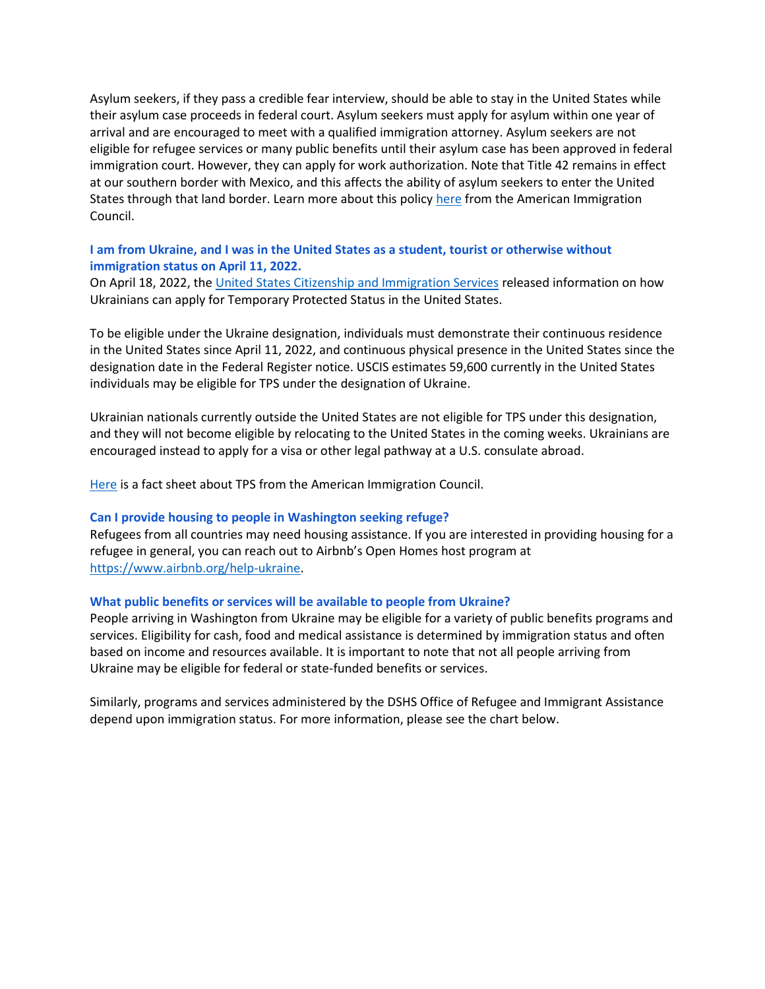Asylum seekers, if they pass a credible fear interview, should be able to stay in the United States while their asylum case proceeds in federal court. Asylum seekers must apply for asylum within one year of arrival and are encouraged to meet with a qualified immigration attorney. Asylum seekers are not eligible for refugee services or many public benefits until their asylum case has been approved in federal immigration court. However, they can apply for work authorization. Note that Title 42 remains in effect at our southern border with Mexico, and this affects the ability of asylum seekers to enter the United States through that land border. Learn more about this policy [here](https://www.americanimmigrationcouncil.org/research/guide-title-42-expulsions-border) from the American Immigration Council.

# **I am from Ukraine, and I was in the United States as a student, tourist or otherwise without immigration status on April 11, 2022.**

On April 18, 2022, th[e United States Citizenship and Immigration Services](https://www.uscis.gov/newsroom/news-releases/dhs-announces-registration-process-for-temporary-protected-status-for-ukraine-and-sudan) released information on how Ukrainians can apply for Temporary Protected Status in the United States.

To be eligible under the Ukraine designation, individuals must demonstrate their continuous residence in the United States since April 11, 2022, and continuous physical presence in the United States since the designation date in the Federal Register notice. USCIS estimates 59,600 currently in the United States individuals may be eligible for TPS under the designation of Ukraine.

Ukrainian nationals currently outside the United States are not eligible for TPS under this designation, and they will not become eligible by relocating to the United States in the coming weeks. Ukrainians are encouraged instead to apply for a visa or other legal pathway at a U.S. consulate abroad.

[Here](https://www.americanimmigrationcouncil.org/research/temporary-protected-status-overview) is a fact sheet about TPS from the American Immigration Council.

#### **Can I provide housing to people in Washington seeking refuge?**

Refugees from all countries may need housing assistance. If you are interested in providing housing for a refugee in general, you can reach out to Airbnb's Open Homes host program at [https://www.airbnb.org/help-ukraine.](https://www.airbnb.org/help-ukraine)

#### **What public benefits or services will be available to people from Ukraine?**

People arriving in Washington from Ukraine may be eligible for a variety of public benefits programs and services. Eligibility for cash, food and medical assistance is determined by immigration status and often based on income and resources available. It is important to note that not all people arriving from Ukraine may be eligible for federal or state-funded benefits or services.

Similarly, programs and services administered by the DSHS Office of Refugee and Immigrant Assistance depend upon immigration status. For more information, please see the chart below.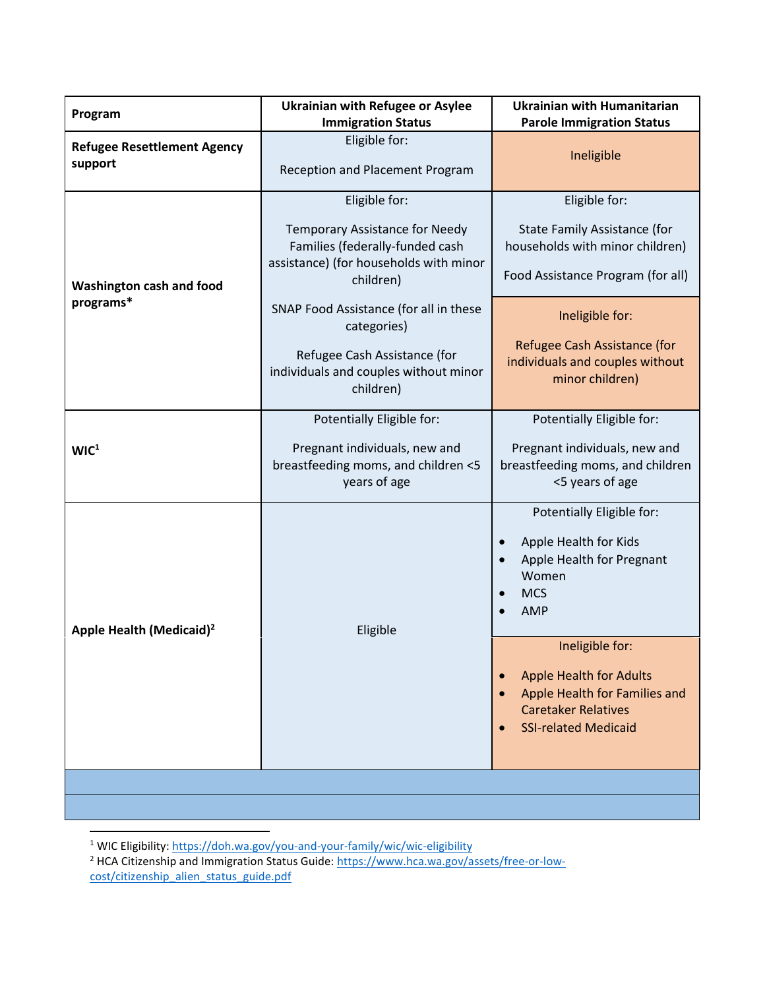| Program                                       | <b>Ukrainian with Refugee or Asylee</b><br><b>Immigration Status</b>                                                                                                                       | <b>Ukrainian with Humanitarian</b><br><b>Parole Immigration Status</b>                                                                                                                                                  |
|-----------------------------------------------|--------------------------------------------------------------------------------------------------------------------------------------------------------------------------------------------|-------------------------------------------------------------------------------------------------------------------------------------------------------------------------------------------------------------------------|
| <b>Refugee Resettlement Agency</b><br>support | Eligible for:<br>Reception and Placement Program                                                                                                                                           | Ineligible                                                                                                                                                                                                              |
| Washington cash and food<br>programs*         | Eligible for:<br><b>Temporary Assistance for Needy</b><br>Families (federally-funded cash<br>assistance) (for households with minor<br>children)<br>SNAP Food Assistance (for all in these | Eligible for:<br>State Family Assistance (for<br>households with minor children)<br>Food Assistance Program (for all)                                                                                                   |
|                                               | categories)<br>Refugee Cash Assistance (for<br>individuals and couples without minor<br>children)                                                                                          | Ineligible for:<br>Refugee Cash Assistance (for<br>individuals and couples without<br>minor children)                                                                                                                   |
| WIC <sup>1</sup>                              | Potentially Eligible for:<br>Pregnant individuals, new and<br>breastfeeding moms, and children <5<br>years of age                                                                          | Potentially Eligible for:<br>Pregnant individuals, new and<br>breastfeeding moms, and children<br><5 years of age                                                                                                       |
| Apple Health (Medicaid) <sup>2</sup>          | Eligible                                                                                                                                                                                   | Potentially Eligible for:<br>Apple Health for Kids<br>Apple Health for Pregnant<br>Women<br><b>MCS</b><br>$\bullet$<br><b>AMP</b><br>Ineligible for:<br><b>Apple Health for Adults</b><br>Apple Health for Families and |
|                                               |                                                                                                                                                                                            | <b>Caretaker Relatives</b><br><b>SSI-related Medicaid</b>                                                                                                                                                               |

<sup>&</sup>lt;sup>1</sup> WIC Eligibility: <u>https://doh.wa.gov/you-and-your-family/wic/wic-eligibility</u>

l

<sup>&</sup>lt;sup>2</sup> HCA Citizenship and Immigration Status Guide: [https://www.hca.wa.gov/assets/free-or-low](https://www.hca.wa.gov/assets/free-or-low-cost/citizenship_alien_status_guide.pdf)[cost/citizenship\\_alien\\_status\\_guide.pdf](https://www.hca.wa.gov/assets/free-or-low-cost/citizenship_alien_status_guide.pdf)